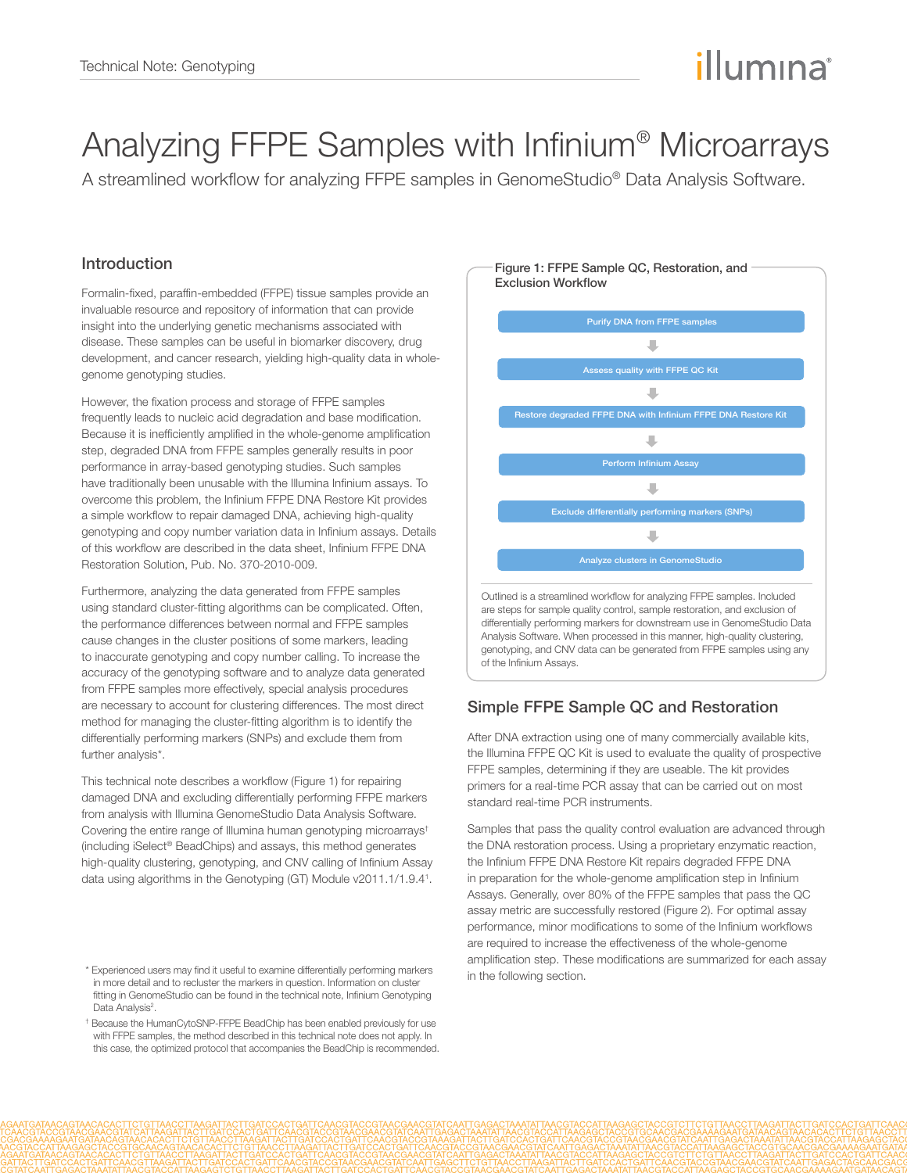# illumına

## Analyzing FFPE Samples with Infinium® Microarrays

A streamlined workflow for analyzing FFPE samples in GenomeStudio® Data Analysis Software.

## Introduction

Formalin-fixed, paraffin-embedded (FFPE) tissue samples provide an invaluable resource and repository of information that can provide insight into the underlying genetic mechanisms associated with disease. These samples can be useful in biomarker discovery, drug development, and cancer research, yielding high-quality data in wholegenome genotyping studies.

However, the fixation process and storage of FFPE samples frequently leads to nucleic acid degradation and base modification. Because it is inefficiently amplified in the whole-genome amplification step, degraded DNA from FFPE samples generally results in poor performance in array-based genotyping studies. Such samples have traditionally been unusable with the Illumina Infinium assays. To overcome this problem, the Infinium [FFPE DNA Restore Kit](http://www.illumina.com/products/infinium_ffpe_dna_restoration_solution.ilmn) provides a simple workflow to repair damaged DNA, achieving high-quality genotyping and copy number variation data in Infinium assays. Details of this workflow are described in the data sheet, [Infinium FFPE DNA](http://res.illumina.com/documents/products/datasheets/datasheet_ffpe_dna_restoration.pdf)  [Restoration Solution, Pub. No. 370-2010-009](http://res.illumina.com/documents/products/datasheets/datasheet_ffpe_dna_restoration.pdf).

Furthermore, analyzing the data generated from FFPE samples using standard cluster-fitting algorithms can be complicated. Often, the performance differences between normal and FFPE samples cause changes in the cluster positions of some markers, leading to inaccurate genotyping and copy number calling. To increase the accuracy of the genotyping software and to analyze data generated from FFPE samples more effectively, special analysis procedures are necessary to account for clustering differences. The most direct method for managing the cluster-fitting algorithm is to identify the differentially performing markers (SNPs) and exclude them from further analysis\*.

This technical note describes a workflow (Figure 1) for repairing damaged DNA and excluding differentially performing FFPE markers from analysis with Illumina [GenomeStudio Data Analysis Software](http://www.illumina.com/software/genomestudio_software.ilmn). Covering the entire range of Illumina [human genotyping microarrays†](http://www.illumina.com/applications/genotyping/human-genotyping-arrays.ilmn) (including [iSelect® BeadChips\)](http://www.illumina.com/products/infinium_iselect_custom_genotyping_beadchips.ilmn) and assays, this method generates high-quality clustering, genotyping, and CNV calling of Infinium Assay data using algorithms in the Genotyping (GT) Module v2011.1/1.9.4<sup>1</sup>.

#### Figure 1: FFPE Sample QC, Restoration, and Exclusion Workflow



## Simple FFPE Sample QC and Restoration

After DNA extraction using one of many commercially available kits, the Illumina FFPE QC Kit is used to evaluate the quality of prospective FFPE samples, determining if they are useable. The kit provides primers for a real-time PCR assay that can be carried out on most standard real-time PCR instruments.

Samples that pass the quality control evaluation are advanced through the DNA restoration process. Using a proprietary enzymatic reaction, the [Infinium FFPE DNA Restore Kit](http://www.illumina.com/products/infinium_ffpe_dna_restoration_solution.ilmn) repairs degraded FFPE DNA in preparation for the whole-genome amplification step in Infinium Assays. Generally, over 80% of the FFPE samples that pass the QC assay metric are successfully restored (Figure 2). For optimal assay performance, minor modifications to some of the Infinium workflows are required to increase the effectiveness of the whole-genome amplification step. These modifications are summarized for each assay in the following section.

 <sup>\*</sup> Experienced users may find it useful to examine differentially performing markers in more detail and to recluster the markers in question. Information on cluster fitting in GenomeStudio can be found in the technical note, [Infinium Genotyping](http://res.illumina.com/documents/products/technotes/technote_infinium_genotyping_data_analysis.pdf)  Data Analysis<sup>2</sup>.

 <sup>†</sup> Because the [HumanCytoSNP-FFPE BeadChip](http://www.illumina.com/products/infinium_ffpe_dna_restoration_solution/humancytosnp12_ffpe_beadchip_kit.ilmn) has been enabled previously for use with FFPE samples, the method described in this technical note does not apply. In this case, the optimized protocol that accompanies the BeadChip is recommended.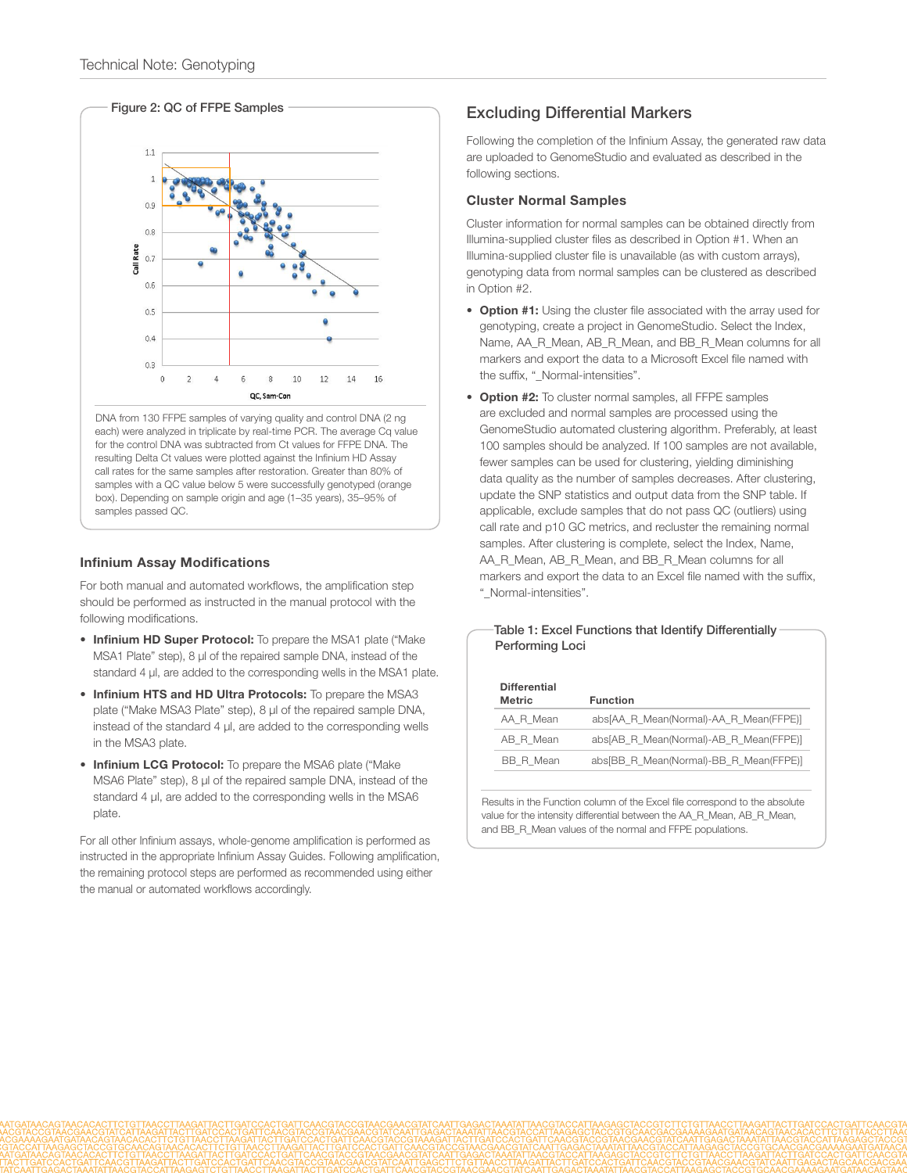

each) were analyzed in triplicate by real-time PCR. The average Cq value for the control DNA was subtracted from Ct values for FFPE DNA. The resulting Delta Ct values were plotted against the Infinium HD Assay call rates for the same samples after restoration. Greater than 80% of samples with a QC value below 5 were successfully genotyped (orange box). Depending on sample origin and age (1–35 years), 35–95% of samples passed QC.

#### Infinium Assay Modifications

For both manual and automated workflows, the amplification step should be performed as instructed in the manual protocol with the following modifications.

- Infinium HD Super Protocol: To prepare the MSA1 plate ("Make MSA1 Plate" step), 8 μl of the repaired sample DNA, instead of the standard 4 μl, are added to the corresponding wells in the MSA1 plate.
- Infinium HTS and HD Ultra Protocols: To prepare the MSA3 plate ("Make MSA3 Plate" step), 8 μl of the repaired sample DNA, instead of the standard 4 μl, are added to the corresponding wells in the MSA3 plate.
- Infinium LCG Protocol: To prepare the MSA6 plate ("Make MSA6 Plate" step), 8 μl of the repaired sample DNA, instead of the standard 4 μl, are added to the corresponding wells in the MSA6 plate.

For all other Infinium assays, whole-genome amplification is performed as instructed in the appropriate Infinium Assay Guides. Following amplification, the remaining protocol steps are performed as recommended using either the manual or automated workflows accordingly.

## Excluding Differential Markers

Following the completion of the Infinium Assay, the generated raw data are uploaded to [GenomeStudio](http://www.illumina.com/informatics/sequencing-microarray-data-analysis/genomestudio.ilmn) and evaluated as described in the following sections.

#### Cluster Normal Samples

Cluster information for normal samples can be obtained directly from Illumina-supplied cluster files as described in Option #1. When an Illumina-supplied cluster file is unavailable (as with custom arrays), genotyping data from normal samples can be clustered as described in Option #2.

- Option #1: Using the cluster file associated with the array used for genotyping, create a project in [GenomeStudio](http://www.illumina.com/informatics/sequencing-microarray-data-analysis/genomestudio.ilmn). Select the Index, Name, AA\_R\_Mean, AB\_R\_Mean, and BB\_R\_Mean columns for all markers and export the data to a Microsoft Excel file named with the suffix, "\_Normal-intensities".
- Option #2: To cluster normal samples, all FFPE samples are excluded and normal samples are processed using the [GenomeStudio](http://www.illumina.com/informatics/sequencing-microarray-data-analysis/genomestudio.ilmn) automated clustering algorithm. Preferably, at least 100 samples should be analyzed. If 100 samples are not available, fewer samples can be used for clustering, yielding diminishing data quality as the number of samples decreases. After clustering, update the SNP statistics and output data from the SNP table. If applicable, exclude samples that do not pass QC (outliers) using call rate and p10 GC metrics, and recluster the remaining normal samples. After clustering is complete, select the Index, Name, AA\_R\_Mean, AB\_R\_Mean, and BB\_R\_Mean columns for all markers and export the data to an Excel file named with the suffix, "\_Normal-intensities".

#### Table 1: Excel Functions that Identify Differentially Performing Loci

| <b>Differential</b><br><b>Metric</b> | <b>Function</b>                        |
|--------------------------------------|----------------------------------------|
| AA R Mean                            | abs[AA R Mean(Normal)-AA R Mean(FFPE)] |
| AB R Mean                            | abs[AB_R_Mean(Normal)-AB_R_Mean(FFPE)] |
| <b>BB R Mean</b>                     | abs[BB R Mean(Normal)-BB R Mean(FFPE)] |

Results in the Function column of the Excel file correspond to the absolute value for the intensity differential between the AA\_R\_Mean, AB\_R\_Mean, and BB\_R\_Mean values of the normal and FFPE populations.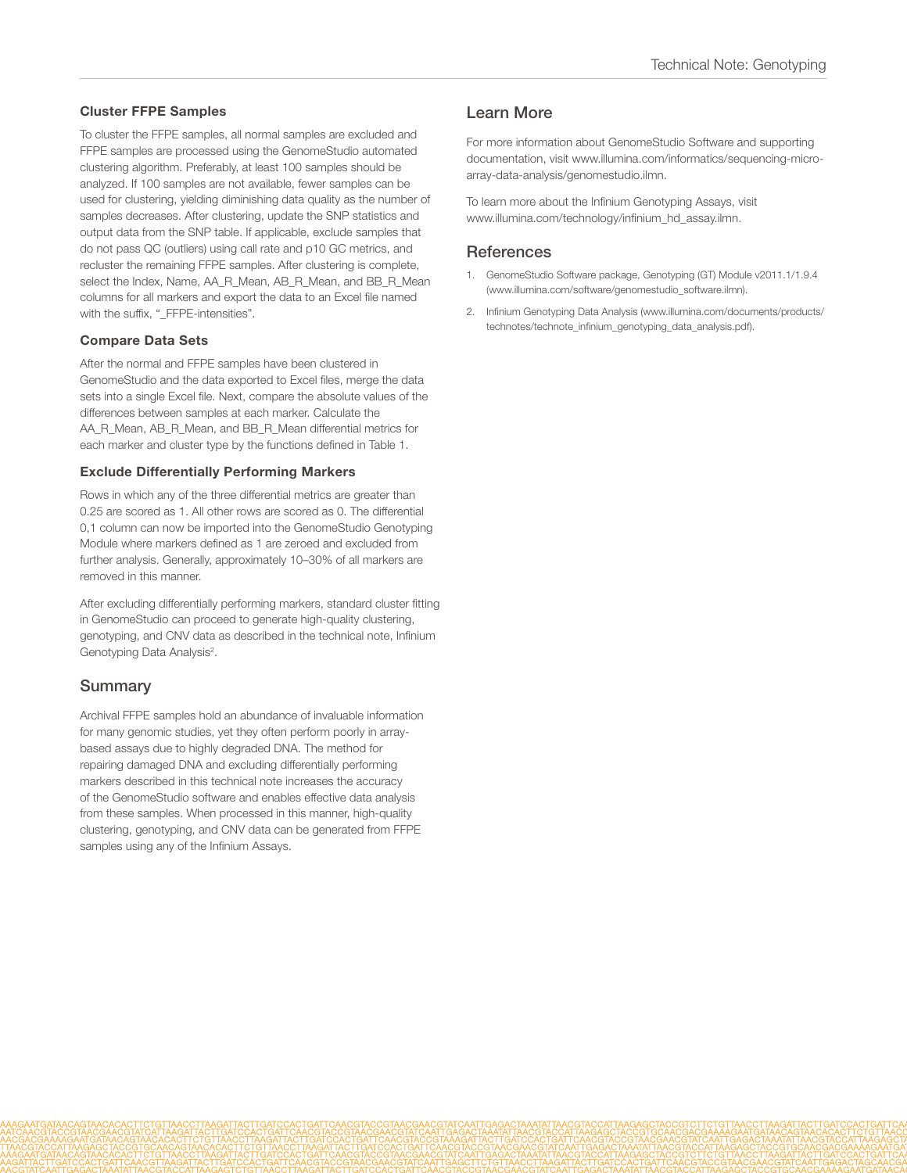#### Cluster FFPE Samples

To cluster the FFPE samples, all normal samples are excluded and FFPE samples are processed using the [GenomeStudio](http://www.illumina.com/informatics/sequencing-microarray-data-analysis/genomestudio.ilmn) automated clustering algorithm. Preferably, at least 100 samples should be analyzed. If 100 samples are not available, fewer samples can be used for clustering, yielding diminishing data quality as the number of samples decreases. After clustering, update the SNP statistics and output data from the SNP table. If applicable, exclude samples that do not pass QC (outliers) using call rate and p10 GC metrics, and recluster the remaining FFPE samples. After clustering is complete, select the Index, Name, AA\_R\_Mean, AB\_R\_Mean, and BB\_R\_Mean columns for all markers and export the data to an Excel file named with the suffix, "\_FFPE-intensities".

#### Compare Data Sets

After the normal and FFPE samples have been clustered in [GenomeStudio](http://www.illumina.com/informatics/sequencing-microarray-data-analysis/genomestudio.ilmn) and the data exported to Excel files, merge the data sets into a single Excel file. Next, compare the absolute values of the differences between samples at each marker. Calculate the AA\_R\_Mean, AB\_R\_Mean, and BB\_R\_Mean differential metrics for each marker and cluster type by the functions defined in Table 1.

#### Exclude Differentially Performing Markers

Rows in which any of the three differential metrics are greater than 0.25 are scored as 1. All other rows are scored as 0. The differential 0,1 column can now be imported into the [GenomeStudio](http://www.illumina.com/informatics/sequencing-microarray-data-analysis/genomestudio.ilmn) Genotyping Module where markers defined as 1 are zeroed and excluded from further analysis. Generally, approximately 10–30% of all markers are removed in this manner.

After excluding differentially performing markers, standard cluster fitting in [GenomeStudio](http://www.illumina.com/informatics/sequencing-microarray-data-analysis/genomestudio.ilmn) can proceed to generate high-quality clustering, genotyping, and CNV data as described in the technical note, [Infinium](http://res.illumina.com/documents/products/technotes/technote_infinium_genotyping_data_analysis.pdf)  [Genotyping Data Analysis](http://res.illumina.com/documents/products/technotes/technote_infinium_genotyping_data_analysis.pdf)<sup>2</sup>.

## **Summary**

Archival FFPE samples hold an abundance of invaluable information for many genomic studies, yet they often perform poorly in arraybased assays due to highly degraded DNA. The method for repairing damaged DNA and excluding differentially performing markers described in this technical note increases the accuracy of the [GenomeStudio](http://www.illumina.com/informatics/sequencing-microarray-data-analysis/genomestudio.ilmn) software and enables effective data analysis from these samples. When processed in this manner, high-quality clustering, genotyping, and CNV data can be generated from FFPE samples using any of the Infinium Assays.

## Learn More

For more information about [GenomeStudio](http://www.illumina.com/informatics/sequencing-microarray-data-analysis/genomestudio.ilmn) Software and supporting documentation, visit [www.illumina.com/informatics/sequencing-micro](http://www.illumina.com/informatics/sequencing-microarray-data-analysis/genomestudio.ilmn)[array-data-analysis/genomestudio.ilmn.](http://www.illumina.com/informatics/sequencing-microarray-data-analysis/genomestudio.ilmn)

To learn more about the Infinium Genotyping Assays, visit www.illumina.com/technology/infinium\_hd\_assay.ilmn.

## **References**

- 1. GenomeStudio Software package, Genotyping (GT) Module v2011.1/1.9.4 (www.illumina.com/software/genomestudio\_software.ilmn).
- 2. Infinium Genotyping Data Analysis [\(www.illumina.com/documents/products/](http://res.illumina.com/documents/products/technotes/technote_infinium_genotyping_data_analysis.pdf) [technotes/technote\\_infinium\\_genotyping\\_data\\_analysis.pdf\).](http://res.illumina.com/documents/products/technotes/technote_infinium_genotyping_data_analysis.pdf)